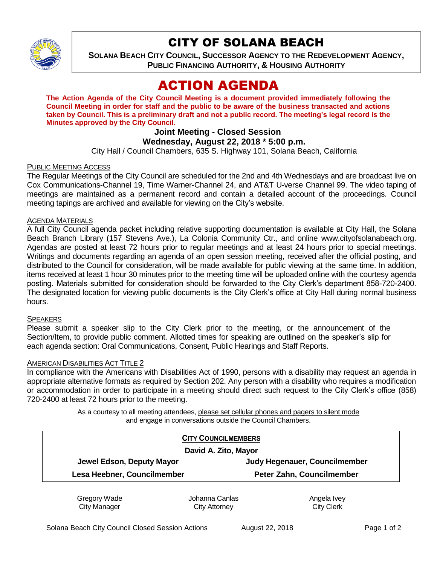

## CITY OF SOLANA BEACH

**SOLANA BEACH CITY COUNCIL, SUCCESSOR AGENCY TO THE REDEVELOPMENT AGENCY, PUBLIC FINANCING AUTHORITY, & HOUSING AUTHORITY** 

# ACTION AGENDA

**The Action Agenda of the City Council Meeting is a document provided immediately following the Council Meeting in order for staff and the public to be aware of the business transacted and actions taken by Council. This is a preliminary draft and not a public record. The meeting's legal record is the Minutes approved by the City Council.**

## **Joint Meeting - Closed Session**

## **Wednesday, August 22, 2018 \* 5:00 p.m.**

City Hall / Council Chambers, 635 S. Highway 101, Solana Beach, California

## PUBLIC MEETING ACCESS

The Regular Meetings of the City Council are scheduled for the 2nd and 4th Wednesdays and are broadcast live on Cox Communications-Channel 19, Time Warner-Channel 24, and AT&T U-verse Channel 99. The video taping of meetings are maintained as a permanent record and contain a detailed account of the proceedings. Council meeting tapings are archived and available for viewing on the City's website.

### AGENDA MATERIALS

A full City Council agenda packet including relative supporting documentation is available at City Hall, the Solana Beach Branch Library (157 Stevens Ave.), La Colonia Community Ctr., and online www.cityofsolanabeach.org. Agendas are posted at least 72 hours prior to regular meetings and at least 24 hours prior to special meetings. Writings and documents regarding an agenda of an open session meeting, received after the official posting, and distributed to the Council for consideration, will be made available for public viewing at the same time. In addition, items received at least 1 hour 30 minutes prior to the meeting time will be uploaded online with the courtesy agenda posting. Materials submitted for consideration should be forwarded to the City Clerk's department 858-720-2400. The designated location for viewing public documents is the City Clerk's office at City Hall during normal business hours.

### **SPEAKERS**

Please submit a speaker slip to the City Clerk prior to the meeting, or the announcement of the Section/Item, to provide public comment. Allotted times for speaking are outlined on the speaker's slip for each agenda section: Oral Communications, Consent, Public Hearings and Staff Reports.

### AMERICAN DISABILITIES ACT TITLE 2

In compliance with the Americans with Disabilities Act of 1990, persons with a disability may request an agenda in appropriate alternative formats as required by Section 202. Any person with a disability who requires a modification or accommodation in order to participate in a meeting should direct such request to the City Clerk's office (858) 720-2400 at least 72 hours prior to the meeting.

> As a courtesy to all meeting attendees, please set cellular phones and pagers to silent mode and engage in conversations outside the Council Chambers.

| <b>CITY COUNCILMEMBERS</b>           |
|--------------------------------------|
| David A. Zito, Mayor                 |
| <b>Judy Hegenauer, Councilmember</b> |
| Peter Zahn, Councilmember            |
|                                      |

Gregory Wade City Manager

Johanna Canlas City Attorney